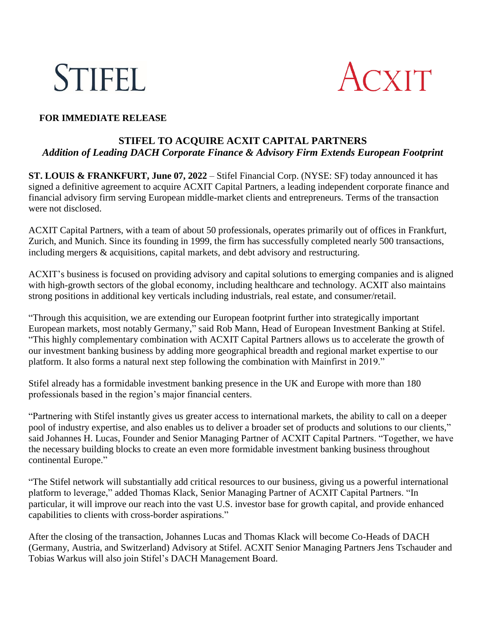



## **FOR IMMEDIATE RELEASE**

# **STIFEL TO ACQUIRE ACXIT CAPITAL PARTNERS**  *Addition of Leading DACH Corporate Finance & Advisory Firm Extends European Footprint*

**ST. LOUIS & FRANKFURT, June 07, 2022** – Stifel Financial Corp. (NYSE: SF) today announced it has signed a definitive agreement to acquire ACXIT Capital Partners, a leading independent corporate finance and financial advisory firm serving European middle-market clients and entrepreneurs. Terms of the transaction were not disclosed.

ACXIT Capital Partners, with a team of about 50 professionals, operates primarily out of offices in Frankfurt, Zurich, and Munich. Since its founding in 1999, the firm has successfully completed nearly 500 transactions, including mergers & acquisitions, capital markets, and debt advisory and restructuring.

ACXIT's business is focused on providing advisory and capital solutions to emerging companies and is aligned with high-growth sectors of the global economy, including healthcare and technology. ACXIT also maintains strong positions in additional key verticals including industrials, real estate, and consumer/retail.

"Through this acquisition, we are extending our European footprint further into strategically important European markets, most notably Germany," said Rob Mann, Head of European Investment Banking at Stifel. "This highly complementary combination with ACXIT Capital Partners allows us to accelerate the growth of our investment banking business by adding more geographical breadth and regional market expertise to our platform. It also forms a natural next step following the combination with Mainfirst in 2019."

Stifel already has a formidable investment banking presence in the UK and Europe with more than 180 professionals based in the region's major financial centers.

"Partnering with Stifel instantly gives us greater access to international markets, the ability to call on a deeper pool of industry expertise, and also enables us to deliver a broader set of products and solutions to our clients," said Johannes H. Lucas, Founder and Senior Managing Partner of ACXIT Capital Partners. "Together, we have the necessary building blocks to create an even more formidable investment banking business throughout continental Europe."

"The Stifel network will substantially add critical resources to our business, giving us a powerful international platform to leverage," added Thomas Klack, Senior Managing Partner of ACXIT Capital Partners. "In particular, it will improve our reach into the vast U.S. investor base for growth capital, and provide enhanced capabilities to clients with cross-border aspirations."

After the closing of the transaction, Johannes Lucas and Thomas Klack will become Co-Heads of DACH (Germany, Austria, and Switzerland) Advisory at Stifel. ACXIT Senior Managing Partners Jens Tschauder and Tobias Warkus will also join Stifel's DACH Management Board.